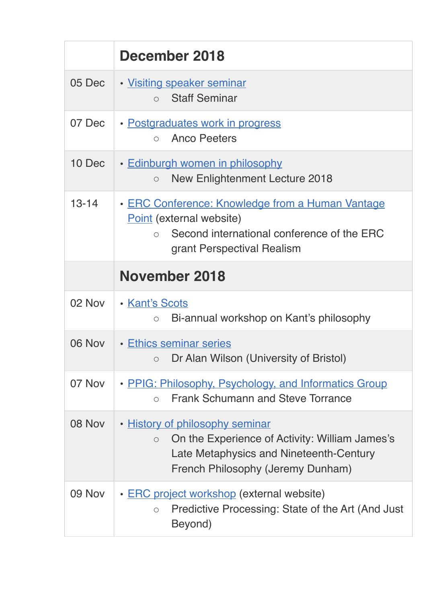|           | December 2018                                                                                                                                                                |
|-----------|------------------------------------------------------------------------------------------------------------------------------------------------------------------------------|
| 05 Dec    | • Visiting speaker seminar<br><b>Staff Seminar</b><br>$\bigcirc$                                                                                                             |
| 07 Dec    | · Postgraduates work in progress<br><b>Anco Peeters</b><br>$\bigcap$                                                                                                         |
| 10 Dec    | · Edinburgh women in philosophy<br><b>New Enlightenment Lecture 2018</b><br>$\circ$                                                                                          |
| $13 - 14$ | · ERC Conference: Knowledge from a Human Vantage<br>Point (external website)<br>Second international conference of the ERC<br>$\bigcap$<br>grant Perspectival Realism        |
|           | <b>November 2018</b>                                                                                                                                                         |
| 02 Nov    | <b>· Kant's Scots</b><br>Bi-annual workshop on Kant's philosophy<br>$\circ$                                                                                                  |
| 06 Nov    | • Ethics seminar series<br>$\circ$ Dr Alan Wilson (University of Bristol)                                                                                                    |
| 07 Nov    | • PPIG: Philosophy, Psychology, and Informatics Group<br><b>Frank Schumann and Steve Torrance</b><br>$\bigcirc$                                                              |
| 08 Nov    | • History of philosophy seminar<br>On the Experience of Activity: William James's<br>$\circ$<br>Late Metaphysics and Nineteenth-Century<br>French Philosophy (Jeremy Dunham) |
| 09 Nov    | <b>ERC</b> project workshop (external website)<br>$\bullet$<br>Predictive Processing: State of the Art (And Just)<br>$\circ$<br>Beyond)                                      |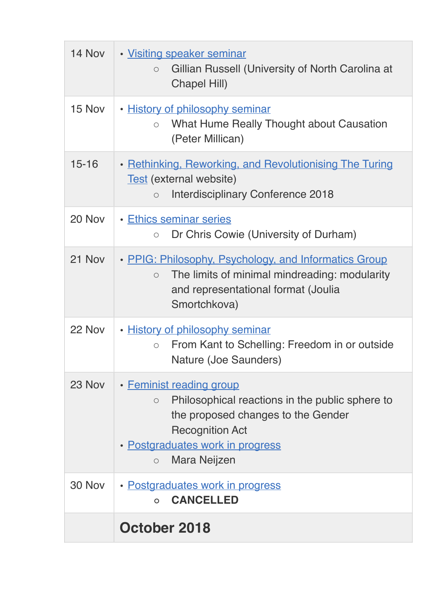| 14 Nov    | • Visiting speaker seminar<br>Gillian Russell (University of North Carolina at<br>$\circ$<br><b>Chapel Hill)</b>                                                                                                      |
|-----------|-----------------------------------------------------------------------------------------------------------------------------------------------------------------------------------------------------------------------|
| 15 Nov    | · History of philosophy seminar<br>What Hume Really Thought about Causation<br>$\circ$<br>(Peter Millican)                                                                                                            |
| $15 - 16$ | • Rethinking, Reworking, and Revolutionising The Turing<br>Test (external website)<br>Interdisciplinary Conference 2018<br>$\circ$                                                                                    |
| 20 Nov    | • Ethics seminar series<br>Dr Chris Cowie (University of Durham)<br>$\circ$                                                                                                                                           |
| 21 Nov    | • PPIG: Philosophy, Psychology, and Informatics Group<br>The limits of minimal mindreading: modularity<br>$\circ$<br>and representational format (Joulia<br>Smortchkova)                                              |
| 22 Nov    | • History of philosophy seminar<br>From Kant to Schelling: Freedom in or outside<br>$\circ$<br>Nature (Joe Saunders)                                                                                                  |
| 23 Nov    | • Feminist reading group<br>Philosophical reactions in the public sphere to<br>$\circ$<br>the proposed changes to the Gender<br><b>Recognition Act</b><br>· Postgraduates work in progress<br>Mara Neijzen<br>$\circ$ |
| 30 Nov    | • Postgraduates work in progress<br><b>CANCELLED</b><br>$\Omega$                                                                                                                                                      |
|           | October 2018                                                                                                                                                                                                          |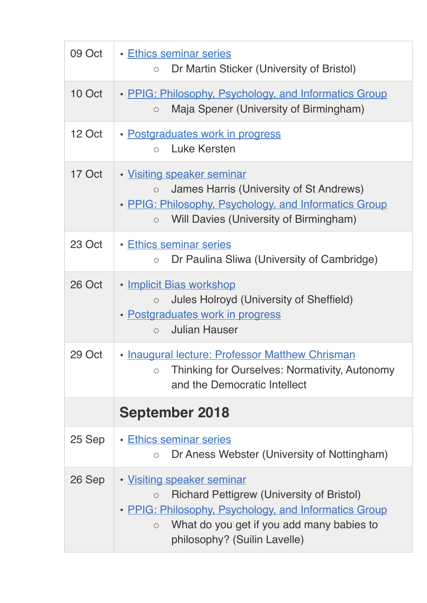| 09 Oct | • Ethics seminar series<br>Dr Martin Sticker (University of Bristol)<br>$\circ$                                                                                                                                                            |
|--------|--------------------------------------------------------------------------------------------------------------------------------------------------------------------------------------------------------------------------------------------|
| 10 Oct | • PPIG: Philosophy, Psychology, and Informatics Group<br>Maja Spener (University of Birmingham)<br>$\bigcirc$                                                                                                                              |
| 12 Oct | • Postgraduates work in progress<br>Luke Kersten<br>$\bigcirc$                                                                                                                                                                             |
| 17 Oct | • Visiting speaker seminar<br>James Harris (University of St Andrews)<br>$\circ$<br>• PPIG: Philosophy, Psychology, and Informatics Group<br>Will Davies (University of Birmingham)<br>$\circ$                                             |
| 23 Oct | <b>· Ethics seminar series</b><br>Dr Paulina Sliwa (University of Cambridge)<br>$\bigcirc$                                                                                                                                                 |
| 26 Oct | • Implicit Bias workshop<br><b>Jules Holroyd (University of Sheffield)</b><br>$\circ$<br>• Postgraduates work in progress<br><b>Julian Hauser</b><br>$\bigcirc$                                                                            |
| 29 Oct | • Inaugural lecture: Professor Matthew Chrisman<br>Thinking for Ourselves: Normativity, Autonomy<br>$\circ$<br>and the Democratic Intellect                                                                                                |
|        | <b>September 2018</b>                                                                                                                                                                                                                      |
| 25 Sep | • Ethics seminar series<br>Dr Aness Webster (University of Nottingham)<br>$\bigcirc$                                                                                                                                                       |
| 26 Sep | • Visiting speaker seminar<br><b>Richard Pettigrew (University of Bristol)</b><br>$\circ$<br>• PPIG: Philosophy, Psychology, and Informatics Group<br>What do you get if you add many babies to<br>$\circ$<br>philosophy? (Suilin Lavelle) |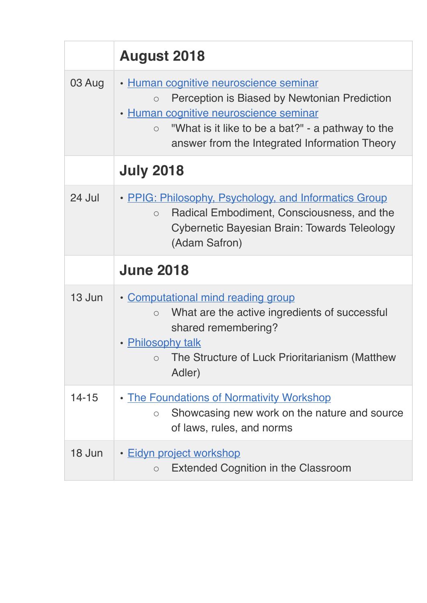|           | <b>August 2018</b>                                                                                                                                                                                                                                              |
|-----------|-----------------------------------------------------------------------------------------------------------------------------------------------------------------------------------------------------------------------------------------------------------------|
| 03 Aug    | · Human cognitive neuroscience seminar<br>Perception is Biased by Newtonian Prediction<br>$\bigcirc$<br>· Human cognitive neuroscience seminar<br>"What is it like to be a bat?" - a pathway to the<br>$\circ$<br>answer from the Integrated Information Theory |
|           | <b>July 2018</b>                                                                                                                                                                                                                                                |
| 24 Jul    | • PPIG: Philosophy, Psychology, and Informatics Group<br>Radical Embodiment, Consciousness, and the<br>$\circ$<br><b>Cybernetic Bayesian Brain: Towards Teleology</b><br>(Adam Safron)                                                                          |
|           | <b>June 2018</b>                                                                                                                                                                                                                                                |
| 13 Jun    | • Computational mind reading group<br>What are the active ingredients of successful<br>$\circ$<br>shared remembering?<br>• Philosophy talk<br>The Structure of Luck Prioritarianism (Matthew<br>$\circ$<br>Adler)                                               |
| $14 - 15$ | . The Foundations of Normativity Workshop<br>Showcasing new work on the nature and source<br>$\bigcirc$<br>of laws, rules, and norms                                                                                                                            |
| 18 Jun    | • Eidyn project workshop<br><b>Extended Cognition in the Classroom</b><br>$\circ$                                                                                                                                                                               |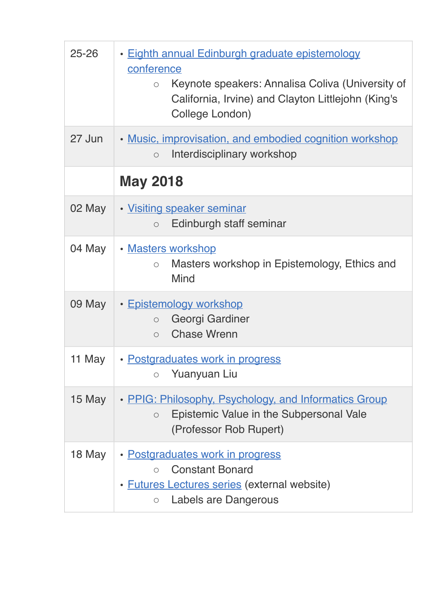| $25 - 26$ | · Eighth annual Edinburgh graduate epistemology<br>conference<br>Keynote speakers: Annalisa Coliva (University of<br>$\circ$<br>California, Irvine) and Clayton Littlejohn (King's<br>College London) |
|-----------|-------------------------------------------------------------------------------------------------------------------------------------------------------------------------------------------------------|
| 27 Jun    | • Music, improvisation, and embodied cognition workshop<br>Interdisciplinary workshop<br>$\circ$                                                                                                      |
|           | <b>May 2018</b>                                                                                                                                                                                       |
| 02 May    | • Visiting speaker seminar<br>Edinburgh staff seminar<br>$\circ$                                                                                                                                      |
| 04 May    | · Masters workshop<br>Masters workshop in Epistemology, Ethics and<br>$\bigcirc$<br><b>Mind</b>                                                                                                       |
| 09 May    | <u>• Epistemology workshop</u><br>Georgi Gardiner<br>$\circ$<br><b>Chase Wrenn</b><br>$\circ$                                                                                                         |
| 11 May    | · Postgraduates work in progress<br>Yuanyuan Liu<br>$\bigcirc$                                                                                                                                        |
| 15 May    | • PPIG: Philosophy, Psychology, and Informatics Group<br>Epistemic Value in the Subpersonal Vale<br>$\circ$<br>(Professor Rob Rupert)                                                                 |
| 18 May    | · Postgraduates work in progress<br><b>Constant Bonard</b><br>$\circ$<br>• <b>Futures Lectures series</b> (external website)<br>Labels are Dangerous<br>$\bigcirc$                                    |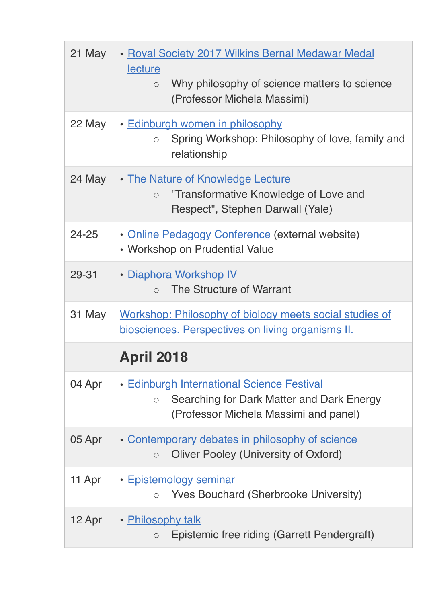| 21 May    | • Royal Society 2017 Wilkins Bernal Medawar Medal<br>lecture<br>Why philosophy of science matters to science<br>$\bigcirc$<br>(Professor Michela Massimi) |
|-----------|-----------------------------------------------------------------------------------------------------------------------------------------------------------|
| 22 May    | • Edinburgh women in philosophy<br>Spring Workshop: Philosophy of love, family and<br>$\bigcirc$<br>relationship                                          |
| 24 May    | • The Nature of Knowledge Lecture<br>"Transformative Knowledge of Love and<br>$\circ$<br>Respect", Stephen Darwall (Yale)                                 |
| $24 - 25$ | • Online Pedagogy Conference (external website)<br>• Workshop on Prudential Value                                                                         |
| 29-31     | <u>• Diaphora Workshop IV</u><br>The Structure of Warrant<br>$\bigcirc$                                                                                   |
| 31 May    | Workshop: Philosophy of biology meets social studies of<br>biosciences. Perspectives on living organisms II.                                              |
|           | <b>April 2018</b>                                                                                                                                         |
| 04 Apr    | <b>· Edinburgh International Science Festival</b><br>Searching for Dark Matter and Dark Energy<br>$\circ$<br>(Professor Michela Massimi and panel)        |
| 05 Apr    | • Contemporary debates in philosophy of science<br><b>Oliver Pooley (University of Oxford)</b><br>$\circ$                                                 |
| 11 Apr    | • Epistemology seminar<br><b>Yves Bouchard (Sherbrooke University)</b><br>$\bigcirc$                                                                      |
| 12 Apr    | • Philosophy talk<br>Epistemic free riding (Garrett Pendergraft)<br>$\bigcirc$                                                                            |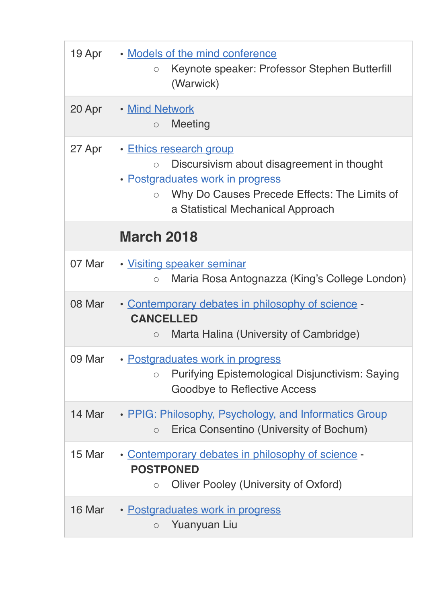| 19 Apr | • Models of the mind conference<br>Keynote speaker: Professor Stephen Butterfill<br>$\circ$<br>(Warwick)                                                                                                             |
|--------|----------------------------------------------------------------------------------------------------------------------------------------------------------------------------------------------------------------------|
| 20 Apr | • Mind Network<br>Meeting<br>$\bigcirc$                                                                                                                                                                              |
| 27 Apr | • Ethics research group<br>Discursivism about disagreement in thought<br>$\circ$<br>• Postgraduates work in progress<br>Why Do Causes Precede Effects: The Limits of<br>$\circ$<br>a Statistical Mechanical Approach |
|        | <b>March 2018</b>                                                                                                                                                                                                    |
| 07 Mar | • Visiting speaker seminar<br>Maria Rosa Antognazza (King's College London)<br>$\bigcirc$                                                                                                                            |
| 08 Mar | • Contemporary debates in philosophy of science -<br><b>CANCELLED</b><br>Marta Halina (University of Cambridge)<br>$\circ$                                                                                           |
| 09 Mar | • Postgraduates work in progress<br><b>Purifying Epistemological Disjunctivism: Saying</b><br>$\bigcirc$<br><b>Goodbye to Reflective Access</b>                                                                      |
| 14 Mar | • PPIG: Philosophy, Psychology, and Informatics Group<br>Erica Consentino (University of Bochum)<br>$\circ$                                                                                                          |
| 15 Mar | • Contemporary debates in philosophy of science -<br><b>POSTPONED</b><br>Oliver Pooley (University of Oxford)<br>$\bigcirc$                                                                                          |
| 16 Mar | • Postgraduates work in progress<br>Yuanyuan Liu<br>$\circ$                                                                                                                                                          |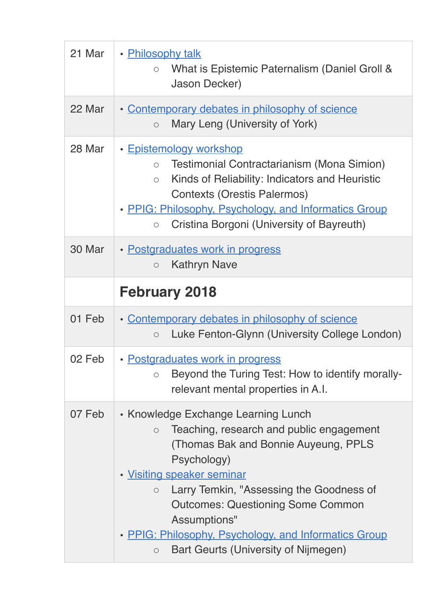| 21 Mar | • Philosophy talk<br>What is Epistemic Paternalism (Daniel Groll &<br>$\circ$<br><b>Jason Decker)</b>                                                                                                                                                                                                |
|--------|------------------------------------------------------------------------------------------------------------------------------------------------------------------------------------------------------------------------------------------------------------------------------------------------------|
| 22 Mar | • Contemporary debates in philosophy of science<br>Mary Leng (University of York)<br>$\circ$                                                                                                                                                                                                         |
| 28 Mar | • Epistemology workshop<br>Testimonial Contractarianism (Mona Simion)<br>$\circ$<br>Kinds of Reliability: Indicators and Heuristic<br>$\circ$<br><b>Contexts (Orestis Palermos)</b><br>• PPIG: Philosophy, Psychology, and Informatics Group<br>Cristina Borgoni (University of Bayreuth)<br>$\circ$ |
| 30 Mar | • Postgraduates work in progress<br><b>Kathryn Nave</b><br>$\circ$                                                                                                                                                                                                                                   |
|        | <b>February 2018</b>                                                                                                                                                                                                                                                                                 |
| 01 Feb | • Contemporary debates in philosophy of science<br>Luke Fenton-Glynn (University College London)<br>$\circ$                                                                                                                                                                                          |
| 02 Feb | · Postgraduates work in progress                                                                                                                                                                                                                                                                     |
|        | Beyond the Turing Test: How to identify morally-<br>$\bigcirc$<br>relevant mental properties in A.I.                                                                                                                                                                                                 |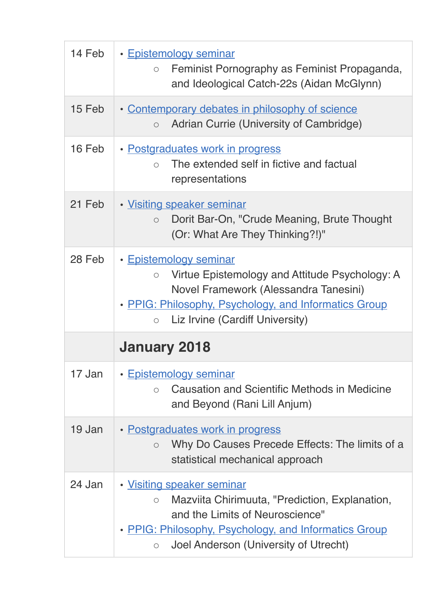| 14 Feb | • Epistemology seminar<br>Feminist Pornography as Feminist Propaganda,<br>$\bigcirc$<br>and Ideological Catch-22s (Aidan McGlynn)                                                                                                             |
|--------|-----------------------------------------------------------------------------------------------------------------------------------------------------------------------------------------------------------------------------------------------|
| 15 Feb | • Contemporary debates in philosophy of science<br>Adrian Currie (University of Cambridge)<br>$\circ$                                                                                                                                         |
| 16 Feb | • Postgraduates work in progress<br>The extended self in fictive and factual<br>$\bigcap$<br>representations                                                                                                                                  |
| 21 Feb | • Visiting speaker seminar<br>Dorit Bar-On, "Crude Meaning, Brute Thought<br>$\circ$<br>(Or: What Are They Thinking?!)"                                                                                                                       |
| 28 Feb | • Epistemology seminar<br>Virtue Epistemology and Attitude Psychology: A<br>$\circ$<br>Novel Framework (Alessandra Tanesini)<br>• PPIG: Philosophy, Psychology, and Informatics Group<br>Liz Irvine (Cardiff University)<br>$\circ$           |
|        | <b>January 2018</b>                                                                                                                                                                                                                           |
| 17 Jan | • Epistemology seminar<br>Causation and Scientific Methods in Medicine<br>$\bigcirc$<br>and Beyond (Rani Lill Anjum)                                                                                                                          |
| 19 Jan | • Postgraduates work in progress<br>Why Do Causes Precede Effects: The limits of a<br>$\circ$<br>statistical mechanical approach                                                                                                              |
| 24 Jan | · Visiting speaker seminar<br>Mazviita Chirimuuta, "Prediction, Explanation,<br>$\bigcirc$<br>and the Limits of Neuroscience"<br>• PPIG: Philosophy, Psychology, and Informatics Group<br>Joel Anderson (University of Utrecht)<br>$\bigcirc$ |